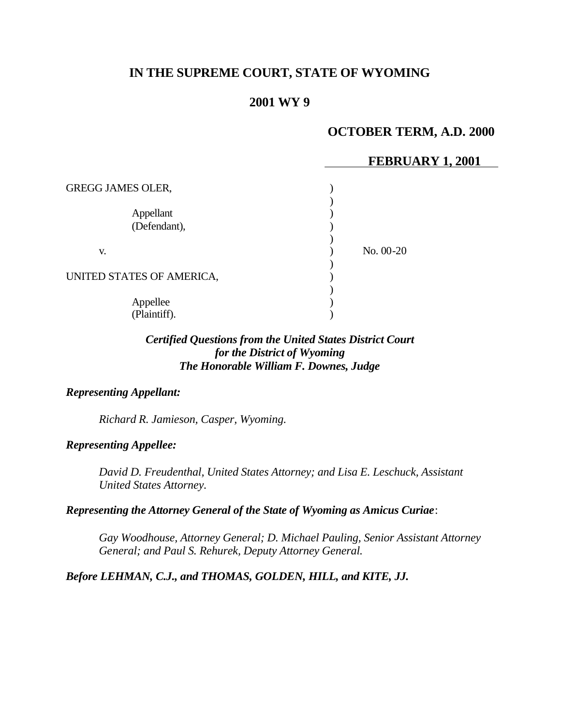# **IN THE SUPREME COURT, STATE OF WYOMING**

## **2001 WY 9**

## **OCTOBER TERM, A.D. 2000**

### **FEBRUARY 1, 2001**

| <b>GREGG JAMES OLER,</b>  |             |
|---------------------------|-------------|
| Appellant<br>(Defendant), |             |
| V.                        | $No. 00-20$ |
| UNITED STATES OF AMERICA, |             |
| Appellee<br>(Plaintiff).  |             |

### *Certified Questions from the United States District Court for the District of Wyoming The Honorable William F. Downes, Judge*

#### *Representing Appellant:*

*Richard R. Jamieson, Casper, Wyoming.*

#### *Representing Appellee:*

*David D. Freudenthal, United States Attorney; and Lisa E. Leschuck, Assistant United States Attorney.*

#### *Representing the Attorney General of the State of Wyoming as Amicus Curiae*:

*Gay Woodhouse, Attorney General; D. Michael Pauling, Senior Assistant Attorney General; and Paul S. Rehurek, Deputy Attorney General.*

## *Before LEHMAN, C.J., and THOMAS, GOLDEN, HILL, and KITE, JJ.*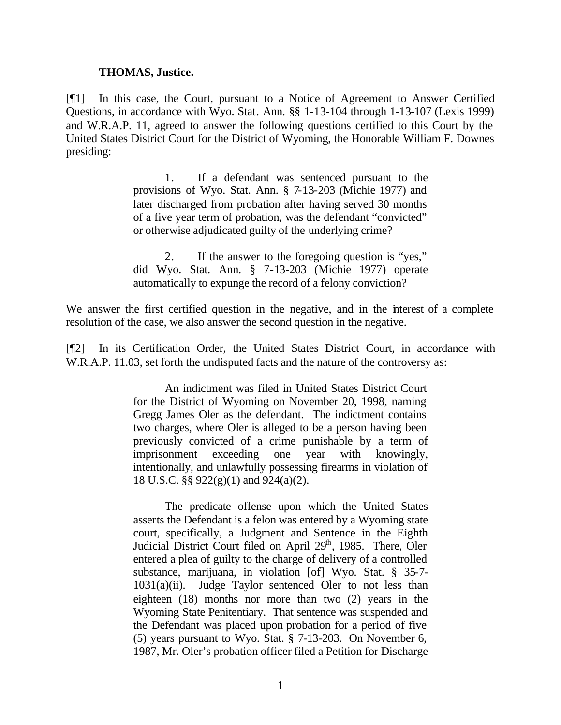#### **THOMAS, Justice.**

[¶1] In this case, the Court, pursuant to a Notice of Agreement to Answer Certified Questions, in accordance with Wyo. Stat. Ann. §§ 1-13-104 through 1-13-107 (Lexis 1999) and W.R.A.P. 11, agreed to answer the following questions certified to this Court by the United States District Court for the District of Wyoming, the Honorable William F. Downes presiding:

> 1. If a defendant was sentenced pursuant to the provisions of Wyo. Stat. Ann. § 7-13-203 (Michie 1977) and later discharged from probation after having served 30 months of a five year term of probation, was the defendant "convicted" or otherwise adjudicated guilty of the underlying crime?

> 2. If the answer to the foregoing question is "yes," did Wyo. Stat. Ann. § 7-13-203 (Michie 1977) operate automatically to expunge the record of a felony conviction?

We answer the first certified question in the negative, and in the interest of a complete resolution of the case, we also answer the second question in the negative.

[¶2] In its Certification Order, the United States District Court, in accordance with W.R.A.P. 11.03, set forth the undisputed facts and the nature of the controversy as:

> An indictment was filed in United States District Court for the District of Wyoming on November 20, 1998, naming Gregg James Oler as the defendant. The indictment contains two charges, where Oler is alleged to be a person having been previously convicted of a crime punishable by a term of imprisonment exceeding one year with knowingly, intentionally, and unlawfully possessing firearms in violation of 18 U.S.C. §§ 922(g)(1) and 924(a)(2).

> The predicate offense upon which the United States asserts the Defendant is a felon was entered by a Wyoming state court, specifically, a Judgment and Sentence in the Eighth Judicial District Court filed on April 29<sup>th</sup>, 1985. There, Oler entered a plea of guilty to the charge of delivery of a controlled substance, marijuana, in violation [of] Wyo. Stat. § 35-7- 1031(a)(ii). Judge Taylor sentenced Oler to not less than eighteen (18) months nor more than two (2) years in the Wyoming State Penitentiary. That sentence was suspended and the Defendant was placed upon probation for a period of five (5) years pursuant to Wyo. Stat. § 7-13-203. On November 6, 1987, Mr. Oler's probation officer filed a Petition for Discharge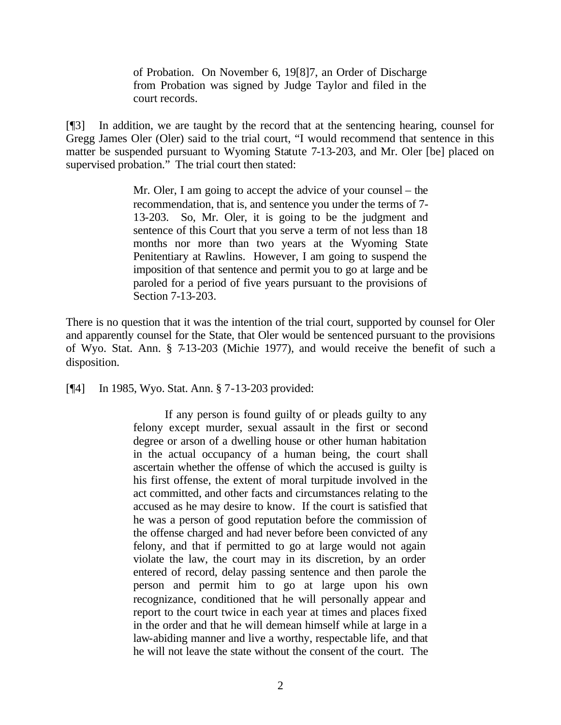of Probation. On November 6, 19[8]7, an Order of Discharge from Probation was signed by Judge Taylor and filed in the court records.

[¶3] In addition, we are taught by the record that at the sentencing hearing, counsel for Gregg James Oler (Oler) said to the trial court, "I would recommend that sentence in this matter be suspended pursuant to Wyoming Statute 7-13-203, and Mr. Oler [be] placed on supervised probation." The trial court then stated:

> Mr. Oler, I am going to accept the advice of your counsel – the recommendation, that is, and sentence you under the terms of 7- 13-203. So, Mr. Oler, it is going to be the judgment and sentence of this Court that you serve a term of not less than 18 months nor more than two years at the Wyoming State Penitentiary at Rawlins. However, I am going to suspend the imposition of that sentence and permit you to go at large and be paroled for a period of five years pursuant to the provisions of Section 7-13-203.

There is no question that it was the intention of the trial court, supported by counsel for Oler and apparently counsel for the State, that Oler would be sentenced pursuant to the provisions of Wyo. Stat. Ann. § 7-13-203 (Michie 1977), and would receive the benefit of such a disposition.

[¶4] In 1985, Wyo. Stat. Ann. § 7-13-203 provided:

If any person is found guilty of or pleads guilty to any felony except murder, sexual assault in the first or second degree or arson of a dwelling house or other human habitation in the actual occupancy of a human being, the court shall ascertain whether the offense of which the accused is guilty is his first offense, the extent of moral turpitude involved in the act committed, and other facts and circumstances relating to the accused as he may desire to know. If the court is satisfied that he was a person of good reputation before the commission of the offense charged and had never before been convicted of any felony, and that if permitted to go at large would not again violate the law, the court may in its discretion, by an order entered of record, delay passing sentence and then parole the person and permit him to go at large upon his own recognizance, conditioned that he will personally appear and report to the court twice in each year at times and places fixed in the order and that he will demean himself while at large in a law-abiding manner and live a worthy, respectable life, and that he will not leave the state without the consent of the court. The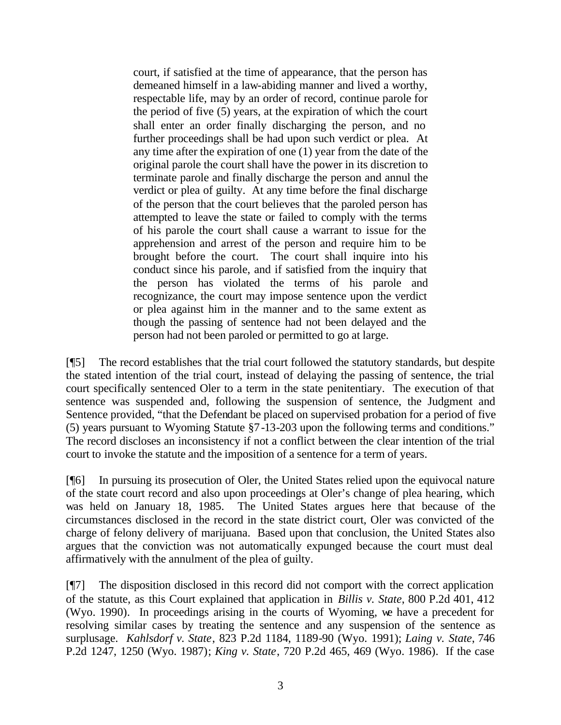court, if satisfied at the time of appearance, that the person has demeaned himself in a law-abiding manner and lived a worthy, respectable life, may by an order of record, continue parole for the period of five (5) years, at the expiration of which the court shall enter an order finally discharging the person, and no further proceedings shall be had upon such verdict or plea. At any time after the expiration of one (1) year from the date of the original parole the court shall have the power in its discretion to terminate parole and finally discharge the person and annul the verdict or plea of guilty. At any time before the final discharge of the person that the court believes that the paroled person has attempted to leave the state or failed to comply with the terms of his parole the court shall cause a warrant to issue for the apprehension and arrest of the person and require him to be brought before the court. The court shall inquire into his conduct since his parole, and if satisfied from the inquiry that the person has violated the terms of his parole and recognizance, the court may impose sentence upon the verdict or plea against him in the manner and to the same extent as though the passing of sentence had not been delayed and the person had not been paroled or permitted to go at large.

[¶5] The record establishes that the trial court followed the statutory standards, but despite the stated intention of the trial court, instead of delaying the passing of sentence, the trial court specifically sentenced Oler to a term in the state penitentiary. The execution of that sentence was suspended and, following the suspension of sentence, the Judgment and Sentence provided, "that the Defendant be placed on supervised probation for a period of five (5) years pursuant to Wyoming Statute §7-13-203 upon the following terms and conditions." The record discloses an inconsistency if not a conflict between the clear intention of the trial court to invoke the statute and the imposition of a sentence for a term of years.

[¶6] In pursuing its prosecution of Oler, the United States relied upon the equivocal nature of the state court record and also upon proceedings at Oler's change of plea hearing, which was held on January 18, 1985. The United States argues here that because of the circumstances disclosed in the record in the state district court, Oler was convicted of the charge of felony delivery of marijuana. Based upon that conclusion, the United States also argues that the conviction was not automatically expunged because the court must deal affirmatively with the annulment of the plea of guilty.

[¶7] The disposition disclosed in this record did not comport with the correct application of the statute, as this Court explained that application in *Billis v. State*, 800 P.2d 401, 412 (Wyo. 1990). In proceedings arising in the courts of Wyoming, we have a precedent for resolving similar cases by treating the sentence and any suspension of the sentence as surplusage. *Kahlsdorf v. State*, 823 P.2d 1184, 1189-90 (Wyo. 1991); *Laing v. State*, 746 P.2d 1247, 1250 (Wyo. 1987); *King v. State*, 720 P.2d 465, 469 (Wyo. 1986). If the case